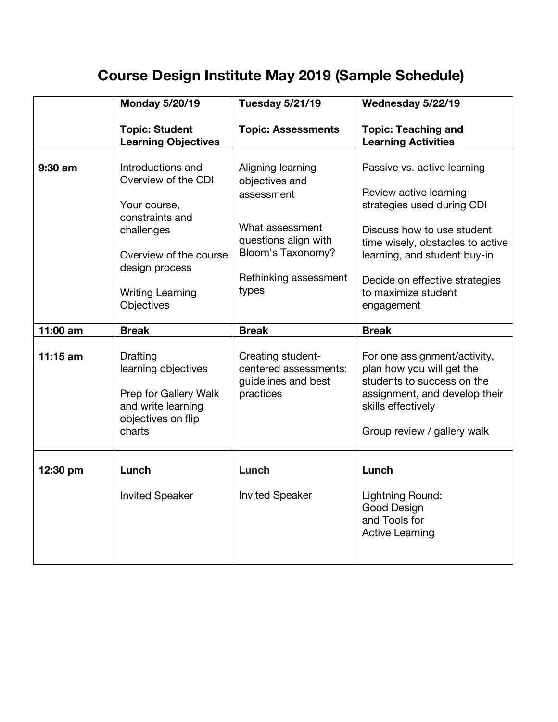## **Course Design Institute May 2019 (Sample Schedule)**

|            | <b>Monday 5/20/19</b>                                                                                                                                                          | <b>Tuesday 5/21/19</b>                                                                                                                              | Wednesday 5/22/19                                                                                                                                                                                                                                            |
|------------|--------------------------------------------------------------------------------------------------------------------------------------------------------------------------------|-----------------------------------------------------------------------------------------------------------------------------------------------------|--------------------------------------------------------------------------------------------------------------------------------------------------------------------------------------------------------------------------------------------------------------|
|            | <b>Topic: Student</b><br><b>Learning Objectives</b>                                                                                                                            | <b>Topic: Assessments</b>                                                                                                                           | <b>Topic: Teaching and</b><br><b>Learning Activities</b>                                                                                                                                                                                                     |
| 9:30 am    | Introductions and<br>Overview of the CDI<br>Your course,<br>constraints and<br>challenges<br>Overview of the course<br>design process<br><b>Writing Learning</b><br>Objectives | Aligning learning<br>objectives and<br>assessment<br>What assessment<br>questions align with<br>Bloom's Taxonomy?<br>Rethinking assessment<br>types | Passive vs. active learning<br>Review active learning<br>strategies used during CDI<br>Discuss how to use student<br>time wisely, obstacles to active<br>learning, and student buy-in<br>Decide on effective strategies<br>to maximize student<br>engagement |
| 11:00 am   | <b>Break</b>                                                                                                                                                                   | <b>Break</b>                                                                                                                                        | <b>Break</b>                                                                                                                                                                                                                                                 |
| $11:15$ am | Drafting<br>learning objectives<br>Prep for Gallery Walk<br>and write learning<br>objectives on flip<br>charts                                                                 | Creating student-<br>centered assessments:<br>guidelines and best<br>practices                                                                      | For one assignment/activity,<br>plan how you will get the<br>students to success on the<br>assignment, and develop their<br>skills effectively<br>Group review / gallery walk                                                                                |
| 12:30 pm   | Lunch<br><b>Invited Speaker</b>                                                                                                                                                | Lunch<br><b>Invited Speaker</b>                                                                                                                     | Lunch<br>Lightning Round:<br>Good Design<br>and Tools for<br><b>Active Learning</b>                                                                                                                                                                          |